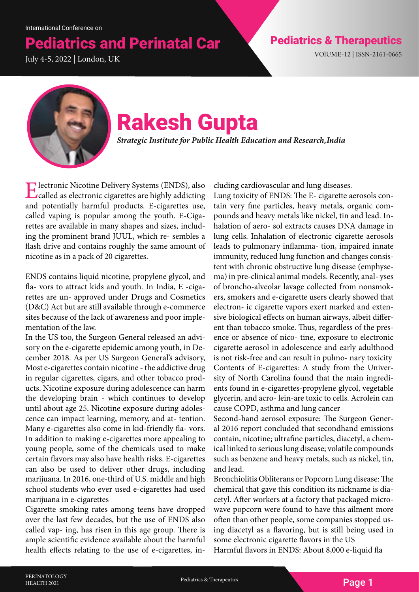# **Pediatrics and Perinatal Car Pediatrics & Therapeutics**

July 4-5, 2022 | London, UK



## Rakesh Gupta

*Strategic Institute for Public Health Education and Research, India*

Electronic Nicotine Delivery Systems (ENDS), also called as electronic cigarettes are highly addicting and potentially harmful products. E-cigarettes use, called vaping is popular among the youth. E-Cigarettes are available in many shapes and sizes, including the prominent brand JUUL, which re- sembles a flash drive and contains roughly the same amount of nicotine as in a pack of 20 cigarettes.

ENDS contains liquid nicotine, propylene glycol, and fla- vors to attract kids and youth. In India, E -cigarettes are un- approved under Drugs and Cosmetics (D&C) Act but are still available through e-commerce sites because of the lack of awareness and poor implementation of the law.

In the US too, the Surgeon General released an advisory on the e-cigarette epidemic among youth, in December 2018. As per US Surgeon General's advisory, Most e-cigarettes contain nicotine - the addictive drug in regular cigarettes, cigars, and other tobacco products. Nicotine exposure during adolescence can harm the developing brain - which continues to develop until about age 25. Nicotine exposure during adolescence can impact learning, memory, and at- tention. Many e-cigarettes also come in kid-friendly fla- vors. In addition to making e-cigarettes more appealing to young people, some of the chemicals used to make certain flavors may also have health risks. E-cigarettes can also be used to deliver other drugs, including marijuana. In 2016, one-third of U.S. middle and high school students who ever used e-cigarettes had used marijuana in e-cigarettes

Cigarette smoking rates among teens have dropped over the last few decades, but the use of ENDS also called vap- ing, has risen in this age group. There is ample scientific evidence available about the harmful health effects relating to the use of e-cigarettes, including cardiovascular and lung diseases.

Lung toxicity of ENDS: The E- cigarette aerosols contain very fine particles, heavy metals, organic compounds and heavy metals like nickel, tin and lead. Inhalation of aero- sol extracts causes DNA damage in lung cells. Inhalation of electronic cigarette aerosols leads to pulmonary inflamma- tion, impaired innate immunity, reduced lung function and changes consistent with chronic obstructive lung disease (emphysema) in pre-clinical animal models. Recently, anal- yses of broncho-alveolar lavage collected from nonsmokers, smokers and e-cigarette users clearly showed that electron- ic cigarette vapors exert marked and extensive biological effects on human airways, albeit different than tobacco smoke. Thus, regardless of the presence or absence of nico- tine, exposure to electronic cigarette aerosol in adolescence and early adulthood is not risk-free and can result in pulmo- nary toxicity Contents of E-cigarettes: A study from the University of North Carolina found that the main ingredients found in e-cigarettes-propylene glycol, vegetable glycerin, and acro- lein-are toxic to cells. Acrolein can cause COPD, asthma and lung cancer

Second-hand aerosol exposure: The Surgeon General 2016 report concluded that secondhand emissions contain, nicotine; ultrafine particles, diacetyl, a chemical linked to serious lung disease; volatile compounds such as benzene and heavy metals, such as nickel, tin, and lead.

Bronchiolitis Obliterans or Popcorn Lung disease: The chemical that gave this condition its nickname is diacetyl. After workers at a factory that packaged microwave popcorn were found to have this ailment more often than other people, some companies stopped using diacetyl as a flavoring, but is still being used in some electronic cigarette flavors in the US

Harmful flavors in ENDS: About 8,000 e-liquid fla